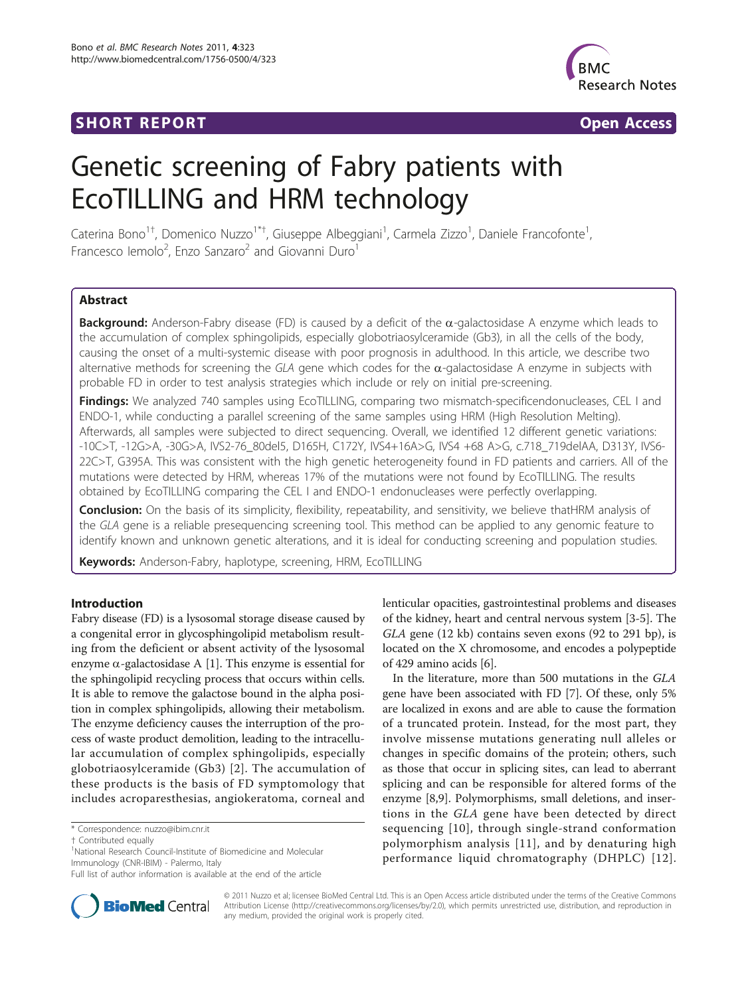## **SHORT REPORT SHORT CONSUMING THE SHORT CONSUMING THE SHORT CONSUMING THE SHORT CONSUMING THE SHORT CONSUMING THE SHORT CONSUMING THE SHORT CONSUMING THE SHORT CONSUMING THE SHORT CONSUMING THE SHORT CONSUMING THE SHORT**



# Genetic screening of Fabry patients with EcoTILLING and HRM technology

Caterina Bono<sup>1†</sup>, Domenico Nuzzo<sup>1\*†</sup>, Giuseppe Albeggiani<sup>1</sup>, Carmela Zizzo<sup>1</sup>, Daniele Francofonte<sup>1</sup> , Francesco lemolo<sup>2</sup>, Enzo Sanzaro<sup>2</sup> and Giovanni Duro<sup>1</sup>

## **Abstract**

Background: Anderson-Fabry disease (FD) is caused by a deficit of the  $\alpha$ -galactosidase A enzyme which leads to the accumulation of complex sphingolipids, especially globotriaosylceramide (Gb3), in all the cells of the body, causing the onset of a multi-systemic disease with poor prognosis in adulthood. In this article, we describe two alternative methods for screening the GLA gene which codes for the  $\alpha$ -galactosidase A enzyme in subjects with probable FD in order to test analysis strategies which include or rely on initial pre-screening.

Findings: We analyzed 740 samples using EcoTILLING, comparing two mismatch-specificendonucleases, CEL I and ENDO-1, while conducting a parallel screening of the same samples using HRM (High Resolution Melting). Afterwards, all samples were subjected to direct sequencing. Overall, we identified 12 different genetic variations: -10C>T, -12G>A, -30G>A, IVS2-76\_80del5, D165H, C172Y, IVS4+16A>G, IVS4 +68 A>G, c.718\_719delAA, D313Y, IVS6- 22C>T, G395A. This was consistent with the high genetic heterogeneity found in FD patients and carriers. All of the mutations were detected by HRM, whereas 17% of the mutations were not found by EcoTILLING. The results obtained by EcoTILLING comparing the CEL I and ENDO-1 endonucleases were perfectly overlapping.

Conclusion: On the basis of its simplicity, flexibility, repeatability, and sensitivity, we believe thatHRM analysis of the GLA gene is a reliable presequencing screening tool. This method can be applied to any genomic feature to identify known and unknown genetic alterations, and it is ideal for conducting screening and population studies.

Keywords: Anderson-Fabry, haplotype, screening, HRM, EcoTILLING

## Introduction

Fabry disease (FD) is a lysosomal storage disease caused by a congenital error in glycosphingolipid metabolism resulting from the deficient or absent activity of the lysosomal enzyme  $\alpha$ -galactosidase A [[1\]](#page-6-0). This enzyme is essential for the sphingolipid recycling process that occurs within cells. It is able to remove the galactose bound in the alpha position in complex sphingolipids, allowing their metabolism. The enzyme deficiency causes the interruption of the process of waste product demolition, leading to the intracellular accumulation of complex sphingolipids, especially globotriaosylceramide (Gb3) [\[2\]](#page-6-0). The accumulation of these products is the basis of FD symptomology that includes acroparesthesias, angiokeratoma, corneal and

\* Correspondence: [nuzzo@ibim.cnr.it](mailto:nuzzo@ibim.cnr.it)

<sup>1</sup>National Research Council-Institute of Biomedicine and Molecular Immunology (CNR-IBIM) - Palermo, Italy

lenticular opacities, gastrointestinal problems and diseases of the kidney, heart and central nervous system [\[3](#page-6-0)-[5](#page-6-0)]. The GLA gene (12 kb) contains seven exons (92 to 291 bp), is located on the X chromosome, and encodes a polypeptide of 429 amino acids [[6](#page-6-0)].

In the literature, more than 500 mutations in the GLA gene have been associated with FD [\[7](#page-6-0)]. Of these, only 5% are localized in exons and are able to cause the formation of a truncated protein. Instead, for the most part, they involve missense mutations generating null alleles or changes in specific domains of the protein; others, such as those that occur in splicing sites, can lead to aberrant splicing and can be responsible for altered forms of the enzyme [\[8,9\]](#page-6-0). Polymorphisms, small deletions, and insertions in the GLA gene have been detected by direct sequencing [[10](#page-6-0)], through single-strand conformation polymorphism analysis [[11](#page-6-0)], and by denaturing high performance liquid chromatography (DHPLC) [[12\]](#page-6-0).



© 2011 Nuzzo et al; licensee BioMed Central Ltd. This is an Open Access article distributed under the terms of the Creative Commons Attribution License [\(http://creativecommons.org/licenses/by/2.0](http://creativecommons.org/licenses/by/2.0)), which permits unrestricted use, distribution, and reproduction in any medium, provided the original work is properly cited.

<sup>†</sup> Contributed equally <sup>1</sup>

Full list of author information is available at the end of the article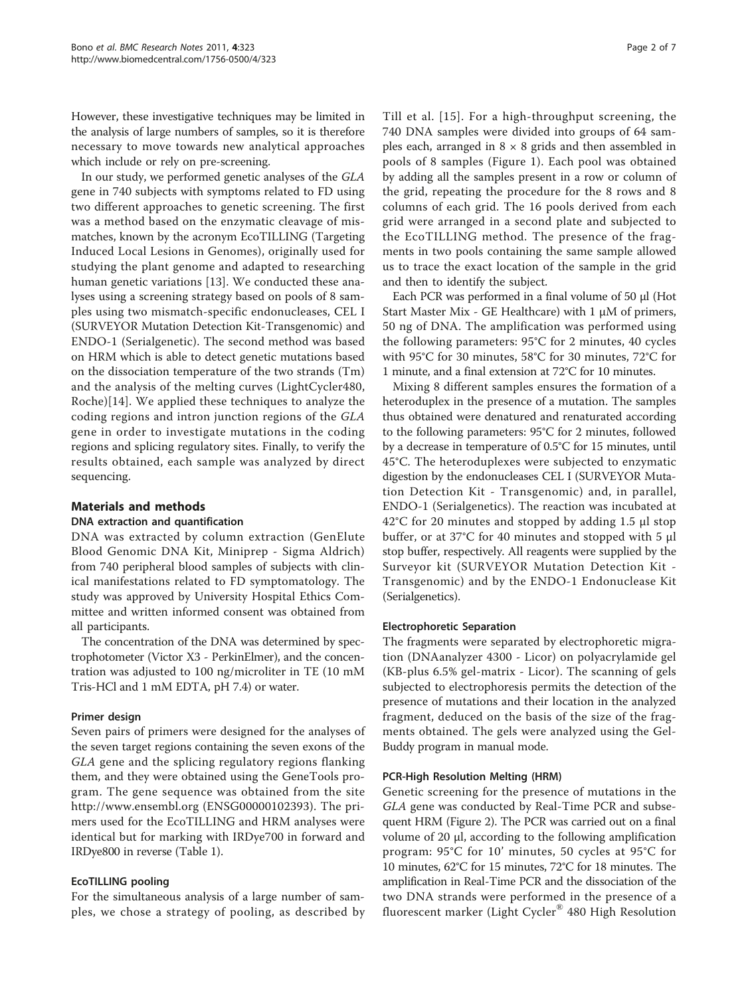However, these investigative techniques may be limited in the analysis of large numbers of samples, so it is therefore necessary to move towards new analytical approaches which include or rely on pre-screening.

In our study, we performed genetic analyses of the GLA gene in 740 subjects with symptoms related to FD using two different approaches to genetic screening. The first was a method based on the enzymatic cleavage of mismatches, known by the acronym EcoTILLING (Targeting Induced Local Lesions in Genomes), originally used for studying the plant genome and adapted to researching human genetic variations [[13\]](#page-6-0). We conducted these analyses using a screening strategy based on pools of 8 samples using two mismatch-specific endonucleases, CEL I (SURVEYOR Mutation Detection Kit-Transgenomic) and ENDO-1 (Serialgenetic). The second method was based on HRM which is able to detect genetic mutations based on the dissociation temperature of the two strands (Tm) and the analysis of the melting curves (LightCycler480, Roche)[\[14](#page-6-0)]. We applied these techniques to analyze the coding regions and intron junction regions of the GLA gene in order to investigate mutations in the coding regions and splicing regulatory sites. Finally, to verify the results obtained, each sample was analyzed by direct sequencing.

## Materials and methods

## DNA extraction and quantification

DNA was extracted by column extraction (GenElute Blood Genomic DNA Kit, Miniprep - Sigma Aldrich) from 740 peripheral blood samples of subjects with clinical manifestations related to FD symptomatology. The study was approved by University Hospital Ethics Committee and written informed consent was obtained from all participants.

The concentration of the DNA was determined by spectrophotometer (Victor X3 - PerkinElmer), and the concentration was adjusted to 100 ng/microliter in TE (10 mM Tris-HCl and 1 mM EDTA, pH 7.4) or water.

## Primer design

Seven pairs of primers were designed for the analyses of the seven target regions containing the seven exons of the GLA gene and the splicing regulatory regions flanking them, and they were obtained using the GeneTools program. The gene sequence was obtained from the site <http://www.ensembl.org> (ENSG00000102393). The primers used for the EcoTILLING and HRM analyses were identical but for marking with IRDye700 in forward and IRDye800 in reverse (Table [1\)](#page-2-0).

## EcoTILLING pooling

For the simultaneous analysis of a large number of samples, we chose a strategy of pooling, as described by Till et al. [[15\]](#page-6-0). For a high-throughput screening, the 740 DNA samples were divided into groups of 64 samples each, arranged in  $8 \times 8$  grids and then assembled in pools of 8 samples (Figure [1](#page-2-0)). Each pool was obtained by adding all the samples present in a row or column of the grid, repeating the procedure for the 8 rows and 8 columns of each grid. The 16 pools derived from each grid were arranged in a second plate and subjected to the EcoTILLING method. The presence of the fragments in two pools containing the same sample allowed us to trace the exact location of the sample in the grid and then to identify the subject.

Each PCR was performed in a final volume of 50 μl (Hot Start Master Mix - GE Healthcare) with 1 μM of primers, 50 ng of DNA. The amplification was performed using the following parameters: 95°C for 2 minutes, 40 cycles with 95°C for 30 minutes, 58°C for 30 minutes, 72°C for 1 minute, and a final extension at 72°C for 10 minutes.

Mixing 8 different samples ensures the formation of a heteroduplex in the presence of a mutation. The samples thus obtained were denatured and renaturated according to the following parameters: 95°C for 2 minutes, followed by a decrease in temperature of 0.5°C for 15 minutes, until 45°C. The heteroduplexes were subjected to enzymatic digestion by the endonucleases CEL I (SURVEYOR Mutation Detection Kit - Transgenomic) and, in parallel, ENDO-1 (Serialgenetics). The reaction was incubated at 42°C for 20 minutes and stopped by adding 1.5 μl stop buffer, or at 37°C for 40 minutes and stopped with 5 μl stop buffer, respectively. All reagents were supplied by the Surveyor kit (SURVEYOR Mutation Detection Kit - Transgenomic) and by the ENDO-1 Endonuclease Kit (Serialgenetics).

#### Electrophoretic Separation

The fragments were separated by electrophoretic migration (DNAanalyzer 4300 - Licor) on polyacrylamide gel (KB-plus 6.5% gel-matrix - Licor). The scanning of gels subjected to electrophoresis permits the detection of the presence of mutations and their location in the analyzed fragment, deduced on the basis of the size of the fragments obtained. The gels were analyzed using the Gel-Buddy program in manual mode.

## PCR-High Resolution Melting (HRM)

Genetic screening for the presence of mutations in the GLA gene was conducted by Real-Time PCR and subsequent HRM (Figure [2\)](#page-3-0). The PCR was carried out on a final volume of 20 μl, according to the following amplification program: 95°C for 10' minutes, 50 cycles at 95°C for 10 minutes, 62°C for 15 minutes, 72°C for 18 minutes. The amplification in Real-Time PCR and the dissociation of the two DNA strands were performed in the presence of a fluorescent marker (Light Cycler® 480 High Resolution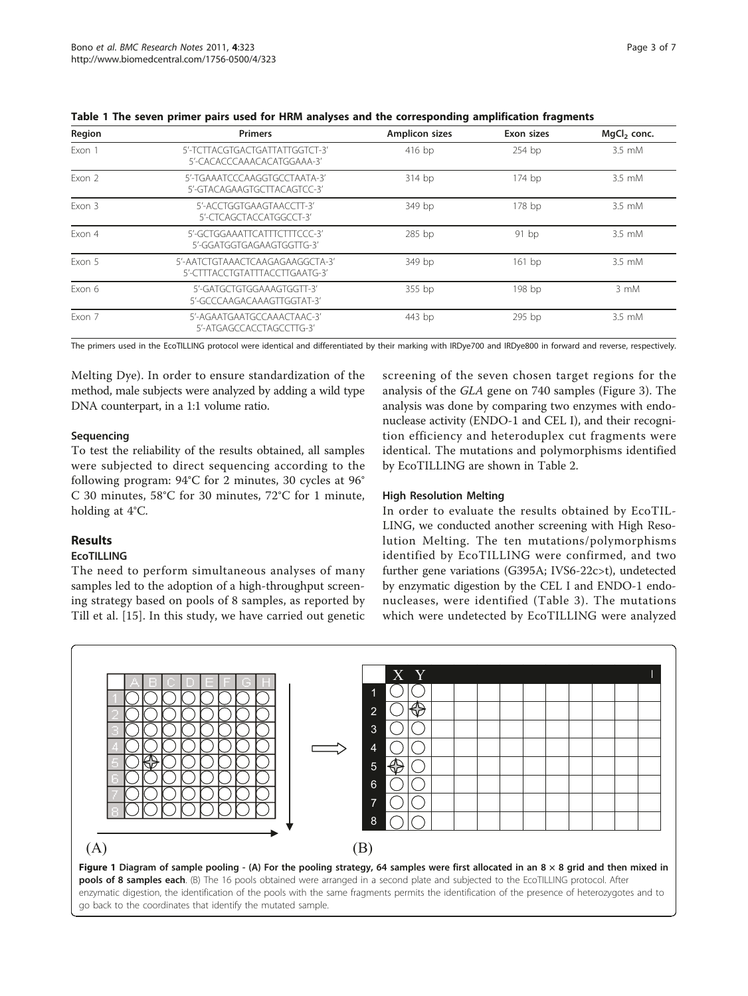| Region | <b>Primers</b>                                                    | <b>Amplicon sizes</b> | Exon sizes | MgCl <sub>2</sub> conc. |  |
|--------|-------------------------------------------------------------------|-----------------------|------------|-------------------------|--|
| Exon 1 | 5'-TCTTACGTGACTGATTATTGGTCT-3'<br>5'-CACACCCAAACACATGGAAA-3'      | $416$ bp              | $254$ bp   | 3.5 mM                  |  |
| Exon 2 | 5'-TGAAATCCCAAGGTGCCTAATA-3'<br>5'-GTACAGAAGTGCTTACAGTCC-3'       | 314 bp                | 174 bp     | 3.5 mM                  |  |
| Exon 3 | 5'-ACCTGGTGAAGTAACCTT-3'<br>5'-CTCAGCTACCATGGCCT-3'               | 349 bp                | 178 bp     | $3.5 \text{ mM}$        |  |
| Exon 4 | 5'-GCTGGAAATTCATTTCTTTCCC-3'<br>5'-GGATGGTGAGAAGTGGTTG-3'         | 285 bp                | 91bp       | $3.5 \text{ mM}$        |  |
| Exon 5 | 5'-AATCTGTAAACTCAAGAGAAGGCTA-3'<br>5'-CTTTACCTGTATTTACCTTGAATG-3' | 349 bp                | $161$ bp   | 3.5 mM                  |  |
| Exon 6 | 5'-GATGCTGTGGAAAGTGGTT-3'<br>5'-GCCCAAGACAAAGTTGGTAT-3'           | 355 bp                | 198 bp     | 3 mM                    |  |
| Exon 7 | 5'-AGAATGAATGCCAAACTAAC-3'<br>5'-ATGAGCCACCTAGCCTTG-3'            | 443 bp                | 295 bp     | 3.5 mM                  |  |

<span id="page-2-0"></span>Table 1 The seven primer pairs used for HRM analyses and the corresponding amplification fragments

The primers used in the EcoTILLING protocol were identical and differentiated by their marking with IRDye700 and IRDye800 in forward and reverse, respectively.

Melting Dye). In order to ensure standardization of the method, male subjects were analyzed by adding a wild type DNA counterpart, in a 1:1 volume ratio.

## Sequencing

To test the reliability of the results obtained, all samples were subjected to direct sequencing according to the following program: 94°C for 2 minutes, 30 cycles at 96° C 30 minutes, 58°C for 30 minutes, 72°C for 1 minute, holding at 4°C.

## Results

## EcoTILLING

The need to perform simultaneous analyses of many samples led to the adoption of a high-throughput screening strategy based on pools of 8 samples, as reported by Till et al. [\[15](#page-6-0)]. In this study, we have carried out genetic screening of the seven chosen target regions for the analysis of the GLA gene on 740 samples (Figure [3\)](#page-3-0). The analysis was done by comparing two enzymes with endonuclease activity (ENDO-1 and CEL I), and their recognition efficiency and heteroduplex cut fragments were identical. The mutations and polymorphisms identified by EcoTILLING are shown in Table [2.](#page-4-0)

## High Resolution Melting

In order to evaluate the results obtained by EcoTIL-LING, we conducted another screening with High Resolution Melting. The ten mutations/polymorphisms identified by EcoTILLING were confirmed, and two further gene variations (G395A; IVS6-22c>t), undetected by enzymatic digestion by the CEL I and ENDO-1 endonucleases, were identified (Table [3\)](#page-4-0). The mutations which were undetected by EcoTILLING were analyzed

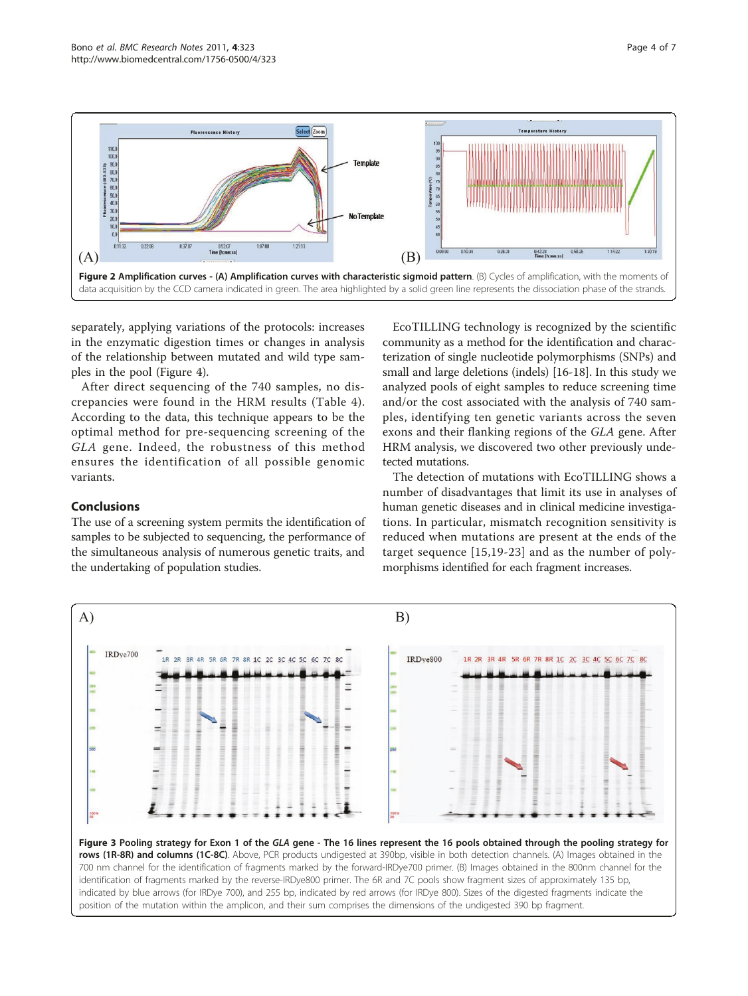<span id="page-3-0"></span>

separately, applying variations of the protocols: increases in the enzymatic digestion times or changes in analysis of the relationship between mutated and wild type samples in the pool (Figure [4](#page-5-0)).

After direct sequencing of the 740 samples, no discrepancies were found in the HRM results (Table [4\)](#page-5-0). According to the data, this technique appears to be the optimal method for pre-sequencing screening of the GLA gene. Indeed, the robustness of this method ensures the identification of all possible genomic variants.

## Conclusions

The use of a screening system permits the identification of samples to be subjected to sequencing, the performance of the simultaneous analysis of numerous genetic traits, and the undertaking of population studies.

EcoTILLING technology is recognized by the scientific community as a method for the identification and characterization of single nucleotide polymorphisms (SNPs) and small and large deletions (indels) [\[16-18](#page-6-0)]. In this study we analyzed pools of eight samples to reduce screening time and/or the cost associated with the analysis of 740 samples, identifying ten genetic variants across the seven exons and their flanking regions of the GLA gene. After HRM analysis, we discovered two other previously undetected mutations.

The detection of mutations with EcoTILLING shows a number of disadvantages that limit its use in analyses of human genetic diseases and in clinical medicine investigations. In particular, mismatch recognition sensitivity is reduced when mutations are present at the ends of the target sequence [\[15,19](#page-6-0)-[23](#page-6-0)] and as the number of polymorphisms identified for each fragment increases.



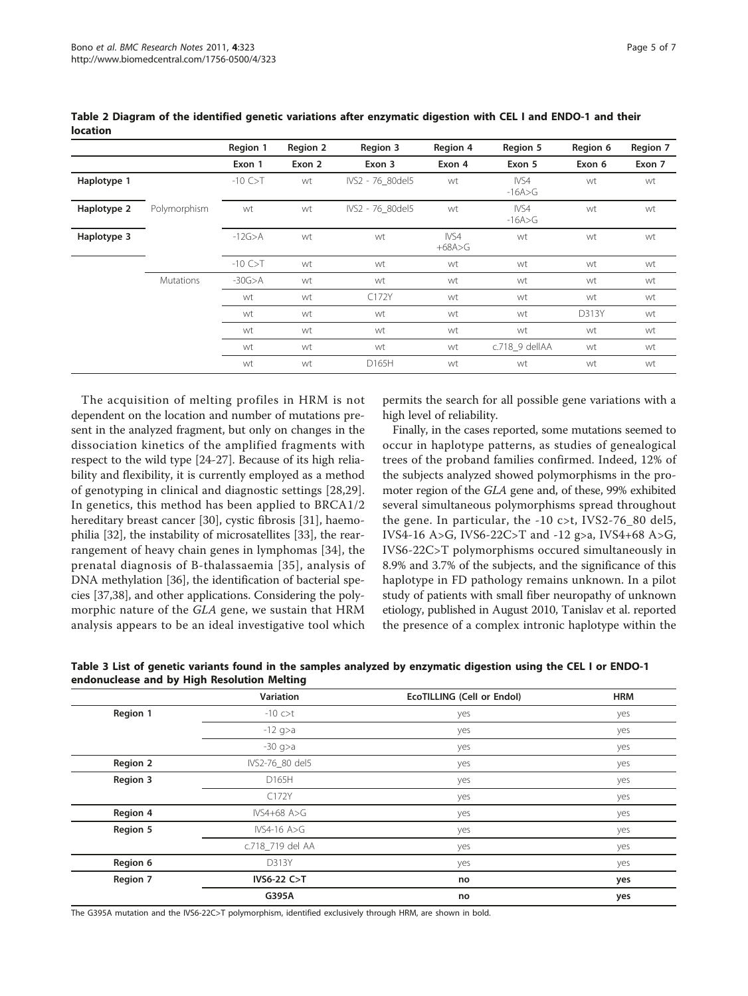<span id="page-4-0"></span>location

|             |              | Region 1      | Region 2 | Region 3         | Region 4         | Region 5           | Region 6 | Region 7 |
|-------------|--------------|---------------|----------|------------------|------------------|--------------------|----------|----------|
|             |              | Exon 1        | Exon 2   | Exon 3           | Exon 4           | Exon 5             | Exon 6   | Exon 7   |
| Haplotype 1 |              | $-10$ C $>$ T | wt       | IVS2 - 76 80del5 | wt               | IVS4<br>$-16A > G$ | wt       | wt       |
| Haplotype 2 | Polymorphism | wt            | wt       | IVS2 - 76 80del5 | wt               | IVS4<br>$-16A > G$ | wt       | wt       |
| Haplotype 3 |              | $-12G > A$    | wt       | wt               | IVS4<br>$+68A>G$ | wt                 | wt       | wt       |
|             |              | $-10$ C $>$ T | wt       | wt               | wt               | wt                 | wt       | wt       |
|             | Mutations    | $-30G$ >A     | wt       | wt               | wt               | wt                 | wt       | wt       |
|             |              | wt            | wt       | C172Y            | wt               | wt                 | wt       | wt       |
|             |              | wt            | wt       | wt               | wt               | wt                 | D313Y    | wt       |
|             |              | wt            | wt       | wt               | wt               | wt                 | wt       | wt       |
|             |              | wt            | wt       | wt               | wt               | c.718 9 dellAA     | wt       | wt       |
|             |              | wt            | wt       | D165H            | wt               | wt                 | wt       | wt       |

The acquisition of melting profiles in HRM is not dependent on the location and number of mutations present in the analyzed fragment, but only on changes in the dissociation kinetics of the amplified fragments with respect to the wild type [[24-27\]](#page-6-0). Because of its high reliability and flexibility, it is currently employed as a method of genotyping in clinical and diagnostic settings [[28,29](#page-6-0)]. In genetics, this method has been applied to BRCA1/2 hereditary breast cancer [[30](#page-6-0)], cystic fibrosis [\[31](#page-6-0)], haemophilia [\[32](#page-6-0)], the instability of microsatellites [\[33\]](#page-6-0), the rearrangement of heavy chain genes in lymphomas [[34](#page-6-0)], the prenatal diagnosis of B-thalassaemia [[35](#page-6-0)], analysis of DNA methylation [\[36](#page-6-0)], the identification of bacterial species [[37,38](#page-6-0)], and other applications. Considering the polymorphic nature of the GLA gene, we sustain that HRM analysis appears to be an ideal investigative tool which

permits the search for all possible gene variations with a high level of reliability.

Finally, in the cases reported, some mutations seemed to occur in haplotype patterns, as studies of genealogical trees of the proband families confirmed. Indeed, 12% of the subjects analyzed showed polymorphisms in the promoter region of the GLA gene and, of these, 99% exhibited several simultaneous polymorphisms spread throughout the gene. In particular, the -10 c>t, IVS2-76\_80 del5, IVS4-16 A>G, IVS6-22C>T and -12 g>a, IVS4+68 A>G, IVS6-22C>T polymorphisms occured simultaneously in 8.9% and 3.7% of the subjects, and the significance of this haplotype in FD pathology remains unknown. In a pilot study of patients with small fiber neuropathy of unknown etiology, published in August 2010, Tanislav et al. reported the presence of a complex intronic haplotype within the

|                 | Variation        | <b>EcoTILLING (Cell or Endol)</b> | <b>HRM</b> |
|-----------------|------------------|-----------------------------------|------------|
| Region 1        | $-10$ c $>$ t    | yes                               | yes        |
|                 | $-12$ g>a        | yes                               | yes        |
|                 | $-30$ q>a        | yes                               | yes        |
| <b>Region 2</b> | IVS2-76_80 del5  | yes                               | yes        |
| Region 3        | D165H            | yes                               | yes        |
|                 | C172Y            | yes                               | yes        |
| Region 4        | $IVS4+68 A>G$    | yes                               | yes        |
| Region 5        | IVS4-16 $A>G$    | yes                               | yes        |
|                 | c.718_719 del AA | yes                               | yes        |
| Region 6        | D313Y            | yes                               | yes        |
| Region 7        | IVS6-22 C>T      | no                                | yes        |
|                 | G395A            | no                                | yes        |

Table 3 List of genetic variants found in the samples analyzed by enzymatic digestion using the CEL I or ENDO-1 endonuclease and by High Resolution Melting

The G395A mutation and the IVS6-22C>T polymorphism, identified exclusively through HRM, are shown in bold.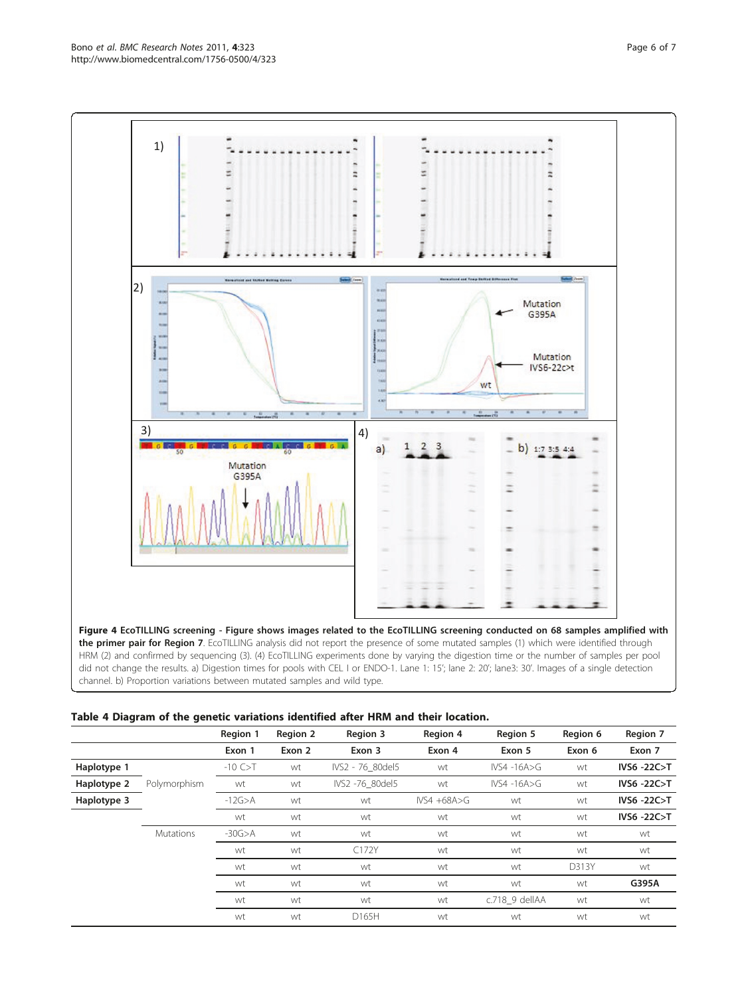<span id="page-5-0"></span>

|             |                  | Region 1      | <b>Region 2</b> | Region 3         | Region 4         | Region 5        | Region 6 | Region 7    |
|-------------|------------------|---------------|-----------------|------------------|------------------|-----------------|----------|-------------|
|             |                  | Exon 1        | Exon 2          | Exon 3           | Exon 4           | Exon 5          | Exon 6   | Exon 7      |
| Haplotype 1 |                  | $-10$ C $>$ T | wt              | IVS2 - 76 80del5 | wt               | $IVSA -16A > G$ | wt       | IVS6 -22C>T |
| Haplotype 2 | Polymorphism     | wt            | wt              | IVS2 -76 80del5  | wt               | $IVSA -16A > G$ | wt       | IVS6 -22C>T |
| Haplotype 3 |                  | $-12G$ >A     | wt              | wt               | $IVS4 + 68A > G$ | wt              | wt       | IVS6 -22C>T |
|             |                  | wt            | wt              | wt               | wt               | wt              | wt       | IVS6 -22C>T |
|             | <b>Mutations</b> | $-30G > A$    | wt              | wt               | wt               | wt              | wt       | wt          |
|             |                  | wt            | wt              | C172Y            | wt               | wt              | wt       | wt          |
|             |                  | wt            | wt              | wt               | wt               | wt              | D313Y    | wt          |
|             |                  | wt            | wt              | wt               | wt               | wt              | wt       | G395A       |
|             |                  | wt            | wt              | wt               | wt               | c.718 9 dellAA  | wt       | wt          |
|             |                  | wt            | wt              | D165H            | wt               | wt              | wt       | wt          |